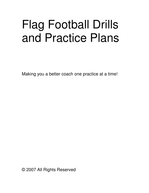# Flag Football Drills and Practice Plans

Making you a better coach one practice at a time!

© 2007 All Rights Reserved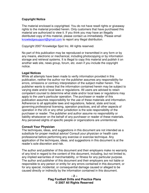#### **Copyright Notice**

The material enclosed is copyrighted. You do not have resell rights or giveaway rights to the material provided herein. Only customers that have purchased this material are authorized to view it. If you think you may have an illegally distributed copy of this material, please contact us immediately. Please email knowledgesupport@gmail.com to report any illegal distribution.

Copyright 2007 Knowledge Spot Inc. All rights reserved.

No part of this publication may be reproduced or transmitted in any form or by any means, electronic or mechanical, including photocopying or by information storage and retrieval systems. It is illegal to copy this material and publish it on another web site, news group, forum, etc. even if you include the copyright notice.

#### **Legal Notices**

While all attempts have been made to verify information provided in this publication, neither the author nor the publisher assumes any responsibility for errors, omissions or contrary interpretation of the subject matter herein. The publisher wants to stress that the information contained herein may be subject to varying state and/or local laws or regulations. All users are advised to retain competent counsel to determine what state and/or local laws or regulations may apply to the user's particular operation. The purchaser or reader of this publication assumes responsibility for the use of these materials and information. Adherence to all applicable laws and regulations, federal, state and local, governing professional licensing, operation practices, and all other aspects of operation in the US or any other jurisdiction is the sole responsibility of the purchaser or reader. The publisher and author assume no responsibility or liability whatsoever on the behalf of any purchaser or reader of these materials. Any perceived slights of specific people or organizations are unintentional.

#### **Consult Your Physician**

The techniques, ideas, and suggestions in this document are not intended as a substitute for proper medical advice! Consult your physician or health care professional before performing any exercise or exercise technique. Any application of the techniques, ideas, and suggestions in this document is at the reader's sole discretion and risk.

The author and publisher of this document and their employers make no warranty of any kind in regard to the content of this document, including, but not limited to, any implied warranties of merchantability, or fitness for any particular purpose. The author and publisher of this document and their employers are not liable or responsible to any person or entity for any errors contained in this document, or for any special, incidental, or consequential damage caused or alleged to be caused directly or indirectly by the information contained in this document.

> **- 2 – Flag Football Drills and Practice Plans © 2007 All Rights Reserved**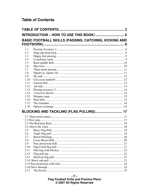# **Table of Contents**

|            | <b>BASIC FOOTBALL SKILLS (PASSING, CATCHING, KICKING AND</b> |  |
|------------|--------------------------------------------------------------|--|
|            |                                                              |  |
| 1.1        |                                                              |  |
| 1.2        |                                                              |  |
| 1.3        |                                                              |  |
| 1.4        |                                                              |  |
| 1.5        |                                                              |  |
| 1.6        |                                                              |  |
| 1.7        |                                                              |  |
| 1.8<br>1.9 |                                                              |  |
| 1.10       |                                                              |  |
| 1.11       |                                                              |  |
| 1.12       |                                                              |  |
| 1.13       |                                                              |  |
| 1.14       |                                                              |  |
| 1.15       |                                                              |  |
| 1.16       |                                                              |  |
| 1.17       |                                                              |  |
| 1.18       |                                                              |  |
|            | BLOCKING AND TACKLING (FLAG PULLING) 17                      |  |
|            |                                                              |  |
|            |                                                              |  |
|            |                                                              |  |
|            |                                                              |  |
| 2.5        |                                                              |  |
| 2.6        |                                                              |  |
| 2.7        |                                                              |  |
| 2.8        |                                                              |  |
| 2.9        |                                                              |  |
| 2.10       |                                                              |  |
| 2.11       |                                                              |  |
| 2.12       |                                                              |  |
| 2.13       |                                                              |  |
|            |                                                              |  |
|            |                                                              |  |
|            |                                                              |  |
|            |                                                              |  |

# Flag Football Drills and Practice Plans<br>© 2007 All Rights Reserved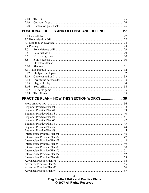| 2.18 |                                                   |  |
|------|---------------------------------------------------|--|
| 2.19 |                                                   |  |
| 2.20 |                                                   |  |
|      | POSITIONAL DRILLS AND OFFENSE AND DEFENSE 27      |  |
|      |                                                   |  |
|      |                                                   |  |
|      |                                                   |  |
|      |                                                   |  |
| 3.5  |                                                   |  |
| 3.6  |                                                   |  |
| 3.7  |                                                   |  |
| 3.8  |                                                   |  |
| 3.9  |                                                   |  |
| 3.10 |                                                   |  |
|      |                                                   |  |
| 3.12 |                                                   |  |
| 3.13 |                                                   |  |
| 3.14 |                                                   |  |
| 3.15 |                                                   |  |
| 3.16 |                                                   |  |
| 3.17 |                                                   |  |
| 3.18 |                                                   |  |
|      |                                                   |  |
|      | <b>PRACTICE PLAN - HOW THIS SECTION WORKS  36</b> |  |
|      |                                                   |  |
|      |                                                   |  |
|      |                                                   |  |
|      |                                                   |  |
|      |                                                   |  |
|      |                                                   |  |
|      |                                                   |  |
|      |                                                   |  |
|      |                                                   |  |
|      |                                                   |  |
|      |                                                   |  |
|      |                                                   |  |
|      |                                                   |  |
|      |                                                   |  |
|      |                                                   |  |
|      |                                                   |  |
|      |                                                   |  |
|      |                                                   |  |
|      |                                                   |  |
|      |                                                   |  |

 $-4-$ Flag Football Drills and Practice Plans<br>© 2007 All Rights Reserved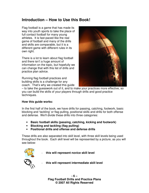# **Introduction – How to Use this Book!**

Flag football is a game that has made its way into youth sports to take the place of full contact football for many young athletes. It is fast-paced like the real game of football and many of the drills and skills are comparable, but it is a different game with different rules in its own right.

There is a lot to learn about flag football and there isn't a huge amount of information on the topic, but hopefully we can change that with this list of drills and practice plan advice.

Running flag football practices and building skills is a challenge for any coach. That's why we created this guide



– to take the guesswork out of it, and to make your practices more effective, so you can build the skills of your players through drills and good practice techniques.

#### **How this guide works:**

In the first half of the book, we have drills for passing, catching, footwork, basic blocking and 'tackling' or flag pulling, positional skills and drills for both offense and defense. We'll divide these drills into three categories:

- **Basic football skills (passing, catching, kicking and footwork)**
- **Blocking and tackling (flag pulling)**
- **Positional drills and offense and defense drills**

These drills are also separated into skill level, with three skill levels being used throughout the book. Each skill level will be represented by a picture, as you will see below:



- **this will represent novice skill level** 



- **this will represent intermediate skill level**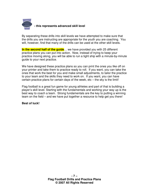

By separating these drills into skill levels we have attempted to make sure that the drills you are instructing are appropriate for the youth you are coaching. You will, however, find that many of the drills can be used at the other skill levels.

**In the second half of the guide**… we have provided you with 25 different practice plans you can put into action. Now, instead of trying to keep your practice moving along, you will be able to run a tight ship with a minute-by-minute guide to your next practice.

We have designed these practice plans so you can print the ones you like off on your printer and take them to practice ready to roll. If you want, you can take the ones that work the best for you and make small adjustments, to tailor the practice to your team and the skills they need to work on. If you want, you can have certain practice plans for certain days of the week, etc – the sky is the limit!

Flag football is a great fun game for young athletes and part of that is building a player's skill level. Starting with the fundamentals and working your way up is the best way to coach a team. Strong fundamentals are the key to putting a winning team on the field – and we have put together a resource to help get you there!

**Best of luck!**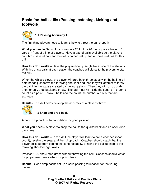# **Basic football skills (Passing, catching, kicking and footwork)**



The first thing players need to learn is how to throw the ball properly.

**What you need –** Set up four cones in a 20 foot by 20 foot square situated 10 yards in front of a line of players. Have a bag of balls available so the players can throw several balls for the drill. You can set up two or three stations for this drill.

**How this drill works –** Have the players line up single file at one of the stations. With five or six balls at each station the coaches will signal to the players to start the drill.

When the whistle blows, the player will drop back three steps with the ball held in both hands just above the throwing shoulder and then they will attempt to throw the ball into the square created by the four pylons. Then they will run up grab another ball, drop back and throw. The ball must hit inside the square in order to count as a point. Throw 5 balls and the count the number out of 5 that are accurate.

**Result –** This drill helps develop the accuracy of a player's throw.



#### **1.2 Snap and drop back**

A good drop back is the foundation for good passing.

**What you need –** A player to snap the ball to the quarterback and an open drop back lane.

**How this drill works –** In this drill the player will learn to call a cadence (snap count), receive the snap and then drop back. Coaches should watch that the player pulls out from behind the center steadily, bringing the ball up high to the throwing shoulder right away.

Practice 1, 3, and 5 step drops without throwing the ball. Coaches should watch for proper mechanics when dropping back.

**Result –** Good drop backs set up a solid passing foundation for the young passer.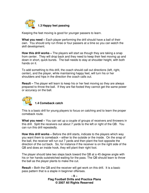

### **1.3 Happy feet passing**

Keeping the feet moving is good for younger passers to learn.

**What you need –** Each player performing the drill should have a ball of their own. You should only run three or four passers at a time so you can watch the skill development.

**How this drill works –** The players will start as though they are taking a snap from center. They will drop back and they need to keep their feet moving up and down in short, quick bursts. The ball needs to stay at shoulder height, with both hands on it.

To add something to this drill, the coach should call out directions (left, right, center), and the player, while maintaining happy feet, will turn his or her shoulders and hips in the direction the coach calls out.

**Result –** The player will learn to keep his or her feet moving so they are always prepared to throw the ball. If they are flat-footed they cannot get the same power or accuracy on the ball.



#### **1.4 Comeback catch**

This is a basic drill for young players to focus on catching and to learn the proper comeback route.

**What you need –** You can set up a couple of groups of receivers and throwers in this drill. Split the receivers out about 7 yards to the left or right of the QB. You can run this drill repeatedly.

**How this drill works –** Before the drill starts, indicate to the players which way you want them to comeback – either to the outside or the inside. On the snap of the ball, the receiver will run out 7 yards and then plant the foot opposite the direction of the cut back. So, for instance if the receiver is on the right side of the QB and does an inside hook, they will plant their right foot.

The player should take two steps back toward the QB at a 45 degree angle with his or her hands outstretched waiting for the pass. The QB should learn to throw the ball as the player plants to make the cut.

**Result –** Both the QB and the receiver will get work on this drill. It is a basic pass pattern that is a staple in beginner offenses.

> **- 9 – Flag Football Drills and Practice Plans © 2007 All Rights Reserved**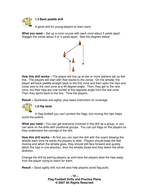

**What you need –** Set up a cone course with each cone about 5 yards apart. Stagger the cones about 3 or 4 yards apart. See the diagram below.



**How this drill works –** The player will line up at two or more stations set up like this. The players will start with their backs to the cones. On the whistle, the player will back peddle straight back to the first cone and then open the hips and cross over to the next cone at a 45 degree angle. Then, they get to the next cone, but their hips are now turned at the opposite angle from the last cone. Then they sprint back to the line. Time the players.

**Result –** Quickness and agility, plus basic instruction on coverage.



#### **1.6 Hip twist**

In flag football you can't protect the flags, but moving the hips helps avoid the pullers.

**What you need –** You can get everyone involved in this drill as a group, or you can work on the drills with positional groups. You can put flags on the players so they understand the concept of the drill.

**How this drill works –** At first you can start the drill with the coach blowing the whistle each time he wants the players to twist. Players should keep the feet moving and when the whistle goes, they should still face forward and quickly twitch the hips in one direction, then the whistle blows and they twitch the other direction.

Change the drill by pairing players up and have the players twist the hips away from the player trying to reach for them.

**Result –** Good agility drill, but will also help players avoid flag pulls.

**- 10 – Flag Football Drills and Practice Plans © 2007 All Rights Reserved**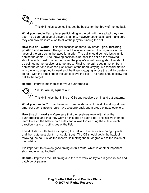

This drill helps coaches instruct the basics for the throw of the football.

**What you need –** Each player participating in the drill will have a ball they can use. You can run several players at a time, however coaches should make sure they can provide instruction to all of the players running the drill.

**How this drill works –** This drill focuses on three key areas: **grip, throwing position and release**. The grip should involve spreading the fingers over the laces of the ball, using the laces for a grip. The ball should be held just slightly behind the center. The throwing position is up near the ear on the throwing shoulder side. Just prior to the throw, the player's non-throwing shoulder should be pointed at the receiver or target area. Finally, the ball is set in motion from behind the ear and released just in front of the head, staying in a forward motion with the wrist snapping forward and the finger dragging across the ball to create a spiral – with the index finger the last to leave the ball. The hand should follow the ball to the target.

**Result –** Improve mechanics for your quarterbacks.



**1.8 Square in, square out** 

This drill helps the timing of QBs and receivers on in and out patterns.

**What you need –** You can have two or more stations of this drill working at one time, but each station should have a quarterback and a group of pass catchers.

**How this drill works –** Make sure that the receivers work with all of the quarterbacks, and that they work on this drill on each side. This allows them to learn to catch the ball on both sides and allows for teaching the cuts in each direction – and on both sides of the field.

This drill starts with the QB snapping the ball and the receiver running 7 yards and then cutting straight in or straight out. The QB should get in the habit of throwing the ball just as the receiver is making the 90 degree cut to the inside of the outside.

It is important to develop good timing on this route, which is another important short route in flag football.

**Result –** Improves the QB timing and the receivers' ability to run good routes and catch quick passes.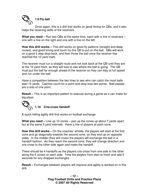

Once again, this is a drill that works on good timing for QBs, and it also helps the receiving skills of the receivers.

**What you need –** Run two QBs at the same time, each with a line of receivers – one with a line on the right and one with a line on the left.

**How this drill works –** This drill works on good fly patterns (straight and deep routes), and good timing and touch for the QB to put on the ball. QBs will work on a good 5 step drop back, and then throw the ball once the receiver has reached the 10 yard mark.

The receiver must run a straight route and not look back at the QB until they are at the 10 yard mark, as they will look to see where the ball is going. The QB must put the ball far enough ahead of the receiver so they can stay at full speed and run under the ball.

Have a competition between the two lines to see who can catch the most balls past 15 yards. Catches count for a point and drop lose two points. Bad passes are a loss of one point.

**Result –** This is an important pattern to execute during a game as it can make for big plays.

# **1.10 Cris-cross handoff**

A quick hitting agility drill that works on football exchange

**What you need –** Line up 10 cones – pair up the cones up about 7 yards apart, but at the same 5 yard intervals. Have a line of players at each cone.

**How this drill works –** On the coaches' whistle, the players will start at the first cone and go diagonally towards the second cone, so they end up on opposite sides. In the middle (they will cross) the players will exchange the ball in a handoff fashion. As they reach the second cone, they will change direction and cris-cross to the other side again and make the handoff.

There should be 4 handoffs as the players cris-cross from one side to the other along the 5 cones on each side. Time the players from start to finish and add 5 seconds for any dropped exchanges.

**Result –** Exchanges between players will improve and agility is worked on in this drill.

> **- 12 – Flag Football Drills and Practice Plans © 2007 All Rights Reserved**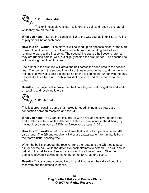

This drill helps players learn to lateral the ball, and receive the lateral while they are on the run.

**What you need –** Set up the cones similar to the way you did in drill 1.10. A line of players will be at each cone.

**How this drill works –** The players will be lined up on opposite sides, at the start of each line of cones. The drill will start with one line handling the ball and running forward to the first cone. The second line starts a half second later so they are running parallel with, but slightly behind the first runner. The second line will run along their line of pylons.

The runner in the first line will lateral the ball across the cone area to the second line. The runner in the second line will continue moving forward and the runner in the first line will wait a split second so he or she is behind the runner with the ball. Essentially it is a back and forth lateral drill from one end of the cones to the other.

**Result –** The player will improve their ball handling and catching skills and work on tossing and receiving laterals.



This is a great passing game that makes for good timing and throw pass connection between receivers and the QB.

**What you need –** You can set this drill up with a QB and receiver on one side, and a defensive back as the defender. Later you can increase the difficulty by having 2 receivers versus 2 DBs, or 2 receivers against 3 DBs.

**How this drill works –** Set up a field area that is about 20 yards wide and 40 yards long. The QB and receiver will discuss a pass pattern to run that is from the team's usual passing tree.

When the ball is snapped, the receiver runs the route and the QB tries to pass him or her the ball, while the defensive back attempts to defend. The QB should get rid of the ball before 5 seconds is up, or it is a loss of down. Give the offensive players 5 downs to make the entire 40 yards for a score.

**Result –** This is a great competitive drill, and it works on the skills of both the receivers and the defensive backs.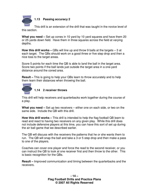

#### **1.13 Passing accuracy 2**

This drill is an extension of the drill that was taught in the novice level of this section.

**What you need –** Set up cones in 10 yard by 10 yard squares and have them 20 or 25 yards down field. Have them in three squares across the field at varying depths.

**How this drill works –** QBs will line up and throw 9 balls at the targets – 3 at each target. The QBs should work on a good three or five step drop and then a nice toss to the target areas.

Score 5 points for each time the QB is able to land the ball in the target area. Score two points if the ball lands just outside the target area in a one-yard distance around the coned area.

**Result –** This is going to help your QBs learn to throw accurately and to help them learn their distances when throwing the ball.



This drill will help receivers and quarterbacks work together during the course of a play.

**What you need –** Set up two receivers – either one on each side, or two on the same side. Include the QB with this drill.

**How this drill works –** This drill is intended to help the flag football QB learn to read and react to having two receivers on any given play. While this drill does not include defensive players at this time, you can have this sort of set up during the air ball game that we described earlier.

The QB will discuss with the receivers the patterns that he or she wants them to run. The QB will snap the ball and take a 3 or 5 step drop and then make a pass to one of the players.

Coaches can cover one player and force the read to the second receiver, or you can instruct the QB to look at one receiver first and then throw to the other. This is basic recognition for the QBs.

**Result –** Improved communication and timing between the quarterbacks and the receivers.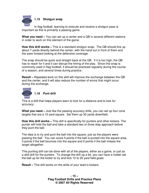

In flag football, learning to execute and receive a shotgun pass is important as this is primarily a passing game.

**What you need –** You can set up a center and a QB in several different stations in order to work on this element of the game.

**How this drill works –** This is a standard shotgun snap. The QB should line up about 7 yards directly behind the center, with the hand out in front of them and the eyes forward looking at the defensive coverage.

The snap should be quick and straight back at the QB. If it is too high, the QB has to reach for it and it can disrupt the timing of the play. Since this snap is commonly used in flag football, it should be practiced regularly during the course of a season, and several times during practice.

**Result –** Repeated work on this skill will improve the exchange between the QB and the center, and it will also reduce the number of errors that might occur during the exchange.



This is a drill that helps players learn to kick for a distance and to kick for accuracy.

**What you need –** Just like the passing accuracy drills, you can set up four cone targets that are a 10 yard square. Set them up 30 yards downfield.

**How this drill works –** This drill is specifically for punters and other kickers. The punter will hold the ball and take a standard two or three step approach before they punt the ball.

The idea is to try and punt the ball into the square, just as the players were passing the ball. You can score 5 points if the ball is punted into the square area, 3 points if the ball bounces into the square and 0 points if the ball misses the target altogether.

This punting drill can be done with all of the players, either as a game, or just as a skill drill for the punters. To change the drill up a bit, you can have a holder set the ball up for the kicker to try and kick 10 to 20 yard field goals.

**Result –** This drill works on the skills of your team's kickers.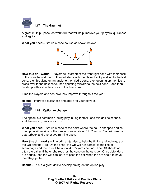

A great multi-purpose footwork drill that will help improve your players' quickness and agility.

**What you need –** Set up a cone course as shown below:



**How this drill works –** Players will start off at the front right cone with their back to the cone behind them. The drill starts with the player back peddling to the first cone, then breaking on an angle to the middle cone, then opening up the hips to cross over to the next cone, then sprinting forward to the next cone – and then finish up with a shuffle across to the final cone.

Time the players and see how they improve throughout the year.

**Result –** Improved quickness and agility for your players.



#### **1.18 Option exchange**

The option is a common running play in flag football, and this drill helps the QB and the running back work on it.

**What you need –** Set up a cone at the point where the ball is snapped and set one up on either side of the center cone at about 5 to 7 yards. You will need a quarterback and one or two running backs.

**How this drill works –** The drill is intended to help the timing and technique of the QB and the RBs. On the snap, the QB will run parallel to the line of scrimmage and the RB will be about 4 or 5 yards behind. The QB should not pitch the ball until he or she reaches the cone on the outside. Once defenders are added, then the QB can learn to pitch the ball when the are about to have their flags pulled.

**Result –** This is a great drill to develop timing on the option play.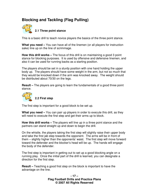# **Blocking and Tackling (Flag Pulling)**



This is a basic drill to teach novice players the basics of the three point stance.

**What you need –** You can have all of the linemen (or all players for instruction sake) line up on the line of scrimmage.

**How this drill works –** The focus of this drill is on maintaining a good 3 point stance for blocking purposes. It is used by offensive and defensive linemen, and also it can be used for running backs as a starting position.

The players should be set in a sturdy position with one hand holding the upper body up. The players should have some weight in the arm, but not so much that they would be knocked down if the arm was knocked away. The weight should be distributed about 70/30 on the legs.

**Result –** The players are going to learn the fundamentals of a good three point stance.



The first step is important for a good block to be set up.

**What you need –** You can pair up players in order to execute this drill, as they will need to execute the first step and get their arms up to block.

**How this drill works –** The players will line up in a three point stance and the partners can stand straight up and down to begin the drill.

On the whistle, the players taking the first step will slightly raise their upper body and take the first jab step towards the opponent. The arms will be in front of them – slightly higher than the opponents' waist. The first step will move forward toward the defender and the blocker's head will be up. The hands will engage the body of the defender.

The first step is important in getting out to set up a good blocking angle on a running play. Once the initial part of the drill is learned, you can designate a direction for the first step.

**Result –** Teaching a good first step on the block is important to have the advantage on the line.

> **- 17 – Flag Football Drills and Practice Plans © 2007 All Rights Reserved**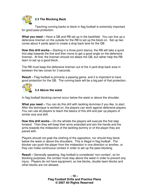

#### **2.3 The Blocking Back**

Teaching running backs to block in flag football is extremely important for good pass protection.

**What you need –** Have a QB and RB set up in the backfield. You can line up a defensive lineman on the outside for the RB to set up the block on. Set up two cones about 4 yards apart to create a drop back lane for the QB.

**How this drill works –** Starting in a three point stance, the RB will take a quick first step towards the line and then move to get a good angle on the defensive lineman. At first, the lineman should not attack the QB, but rather help the RB learn to set up a good block.

The RB must keep the defensive lineman out of the 4 yard drop back area in between the two cones for 3 seconds.

**Result –** Flag football is primarily a passing game, and it is important to have good protection for the QB. The running back will be a big part of that protection.



#### **2.4 Above the waist**

In flag football blocking cannot occur below the waist or above the shoulder.

**What you need –** You can do this drill with tackling dummies if you like, to start. After the technique is worked on, the players can work against defensive players. You can use all players to teach the basics of this drill and pair up players of similar size and skill.

**How this drill works –** On the whistle the players will execute the first step forward. Then they will keep their arms extended and aim the hands and the arms towards the midsection of the tackling dummy or of the player they are paired with.

Players should not grab the clothing of the opposition, nor should they block below the waist or above the shoulders. This is illegal in flag football. The blocker can push the player from the midsection in one direction or another, or they can make continuous contact in order to set up the pass blocking.

**Result –** Generally speaking, flag football is considered 'non-contact', so for blocking purposes, the contact must stay above the waist in order to prevent any injury. Players do not have equipment, so low blocks, double team blocks and other blocks are not allowed.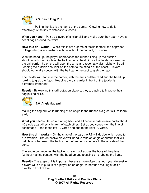

**2.5 Basic Flag Pull** 

Pulling the flag is the name of the game. Knowing how to do it effectively is the key to defensive success.

**What you need –** Pair up players of similar skill and make sure they each have a set of flags around the waist.

**How this drill works –** While this is not a game of tackle football, the approach to flag-pulling is somewhat similar – without the contact, of course.

With the head up, the player approaches the runner, lining up the outside shoulder with the middle of the ball carrier's chest. Once the tackler approaches the ball carrier, he or she will open the arms and reach at waist height, while still keeping the outside shoulder on the path to the middle of the chest. Players should not make contact with the ball carrier, except to grab the flags.

The tackler will lean into the carrier, with the arms outstretched and the head up looking to grab the flags. Keeping the ball carrier in front of the tackler is extremely important.

**Result –** By working this drill between players, they are going to improve their flag pulling skills.

# **2.6 Angle flag pull**

Making the flag pull while running at an angle to the runner is a great skill to learn early.

**What you need –** Set up a running back and a linebacker (defensive back) about 10 yards apart directly in front of each other. Set up two cones – on the line of scrimmage – one to the left 10 yards and one to the right 10 yards.

**How this drill works –** On the snap of the ball, the RB will decide which cone to run towards. The defensive player will need to take an angle of pursuit that will help him or her reach the ball carrier before he or she gets to the outside of the cone.

The angle pull requires the tackler to reach out across the body of the player (without making contact) with the head up and focusing on grabbing the flags.

**Result –** The angle pull is important because more often than not, your defensive players will be in pursuit of a player on an angle, rather than making a tackle directly in front of them.

> **- 19 – Flag Football Drills and Practice Plans © 2007 All Rights Reserved**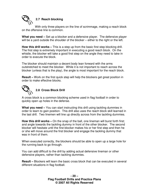

With only three players on the line of scrimmage, making a reach block on the offensive line is common.

**What you need –** Set up a blocker and a defensive player. The defensive player will be a yard outside the shoulder of the blocker – either to the right or the left.

**How this drill works –** This is a step up from the basic first step blocking drill. The first step is extremely important in executing a good reach block. On the whistle, the blocker will take a good first step on the angle they need to take in order to execute the block.

The blocker should maintain a decent body lean forward with the arms outstretched to meet the blocker. While it is not important to reach across the blocker (unless that is the play), the angle is most important for the reach block.

**Result –** Work on the first quick step will help the blockers get great position in order to make effective blocks.



A cross block is a common blocking scheme used in flag football in order to quickly open up holes in the defense.

**What you need –** You can start instructing this drill using tackling dummies in order to learn to gain position. This drill also uses the reach block skill learned in the last drill. Two linemen will line up directly across from the tackling dummies.

**How this drill works** – On the snap of the ball, one lineman will burst forth first; and angle towards the tackling dummy in front of the other blocker. The second blocker will hesitate until the first blocker makes his or her first step and then he or she will move around the first blocker and engage the tackling dummy that was in front of them.

When executed correctly, the blockers should be able to open up a large hole for the running back to go through.

You can add difficult to the drill by adding actual defensive lineman or other defensive players, rather than tackling dummies.

**Result –** Blockers will learn the basic cross block that can be executed in several different situations in flag football.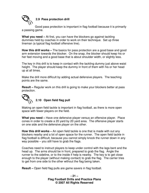

Good pass protection is important in flag football because it is primarily a passing game.

**What you need –** At first, you can have the blockers go against tackling dummies held by coaches in order to work on their technique. Set up three lineman (a typical flag football offensive line).

**How this drill works –** The basics for pass protection are a good base and good arm extension towards the blocker. On the snap, the blocker should keep his or her feet moving and a good base that is about shoulder width, or slightly less.

The key in this drill is to keep in contact with the tackling dummy just above waist height. The player should keep the dummy in front of them with his or her head up at all times.

Make the drill more difficult by adding actual defensive players. The teaching points are the same.

**Result –** Regular work on this drill is going to make your blockers better at pass protection.



Making an open field tackle is important in flag football, as there is more open space with fewer players on the field.

**What you need –** Have one defensive player versus an offensive player. Place cones in order to create a 20 yard by 20 yard area. The offensive player starts on one side and the defensive player on the other.

**How this drill works –** An open field tackle is one that is made with out any blockers nearby and a lot of open space for the runner. The open field tackle in flag football is difficult, because you cannot simply knock the runner down in any way possible – you still have to grab the flags.

Coaches need to instruct players to keep under control with the legs bent and the head up. The arms should be in front, prepared to grab the flag. Angle the runner to the sideline, or to the inside if help is nearby. The key is to get close enough to the player (without making contact) to grab the flag. The carrier tries to get from one side to the other without the flag being taken.

**Result –** Open field flag pulls are game savers in flag football.

**- 21 – Flag Football Drills and Practice Plans © 2007 All Rights Reserved**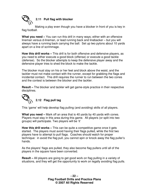

Making a play even though you have a blocker in front of you is key in flag football.

**What you need –** You can run this drill in many ways; either with an offensive lineman versus d-lineman, or lead running back and linebacker – but you will always have a running back carrying the ball. Set up two pylons about 10 yards apart on a line of scrimmage.

**How this drill works –** This drill is for both offensive and defensive players, as you need to either execute a good block (offense) or execute a good tackle (defense). So the blocker attempts to keep the defensive player away and the defensive player tries to shed the block to make the tackle.

The blocker must stay on his or her feet and block above the waist, and the tackler must not make contact with the runner, except for grabbing the flags and incidental contact. This drill requires the runner to run between the two cones and the contest is between the blocker and the tackler.

**Result –** The blocker and tackler will get game-style practice in their respective disciplines.



This 'game' will help develop flag pulling (and avoiding) skills of all players.

**What you need –** Mark off an area that is 40 yards by 40 yards with cones. Players must stay in this area during this game. All players (or split into two groups) will participate. Two players will be 'it'

**How this drill works –** This can be quite a competitive game once it gets started. The players must avoid having their flags pulled, while the first two players have to attempt to pull flags. Coaches should watch for proper technique: in avoid the flag pull, you cannot spin or knock away the flag puller's hands.

As the players' flags are pulled, they also become flag pullers until all of the players in the square have been converted.

**Result –** All players are going to get good work on flag pulling in a variety of situations, and they will get the opportunity to work on legally avoiding flag pulls.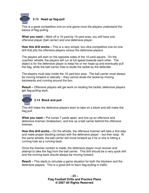

This is a great competitive one-on-one game once the players understand the basics of flag pulling

**What you need –** Mark off a 10-yard by 10-yard area; you will have one offensive player (ball carrier) and one defensive player.

**How this drill works –** This is a very simple, but ultra-competitive one-on-one drill that pits the offensive players versus the defensive players.

The players will start on the opposite sides of the 10-yard square. On the coaches' whistle, the players will run at full speed towards each other. The object is for the defensive player to keep his or her head up and eventually pull the flag, while the ball carrier tries to elude the tackle by the defender.

The players must stay inside the 10-yard box area. The ball carrier must always be moving forward or laterally – they cannot elude the tackle by moving backwards and running around the box.

**Result –** Offensive players will get work on eluding the tackle; defensive players get flag-pulling work.



#### **2.14 Block and pull**

This drill helps the defensive players learn to take on a block and still make the flag pull.

**What you need –** Put cones 7 yards apart, and line up an offensive and defensive lineman (linebacker), and line up a ball carrier behind the offensive lineman.

**How this drill works –** On the whistle, the offensive lineman will take a first step and make proper blocking contact with the defensive player – but then stop. At the same whistle, the ball carrier will move forward as if he or she is hitting a running hole as a running back.

Once the lineman contact is made, the defensive player must recover and attempt to take the flag from the ball carrier. This drill should be a very quick drill and the running back should always be moving forward.

**Result –** This starts to simulate a game situation for both the blockers and the defensive players. This is a good drill to learn flag-pulling in traffic.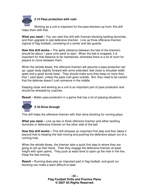

#### **2.15 Pass protection with rush**

Working as a unit is important for the pass blockers up front; this drill helps them with that.

**What you need –** You can start this drill with lineman blocking tackling dummies, and then upgrade to real defensive linemen. Line up three offensive linemen (typical of flag football), consisting of a center and two guards.

**How this drill works –** The splits (distance between the feet of the linemen) should be about 1 pace (one yard) to start. When the ball is snapped, it is important for that distance to be maintained, otherwise there is a lot of room for players to move between them.

When the whistle blows, the offensive linemen will assume a pass protection set up: upper body slightly forward with arms extended; feet close to shoulder width apart and a good sturdy base. They should make sure they keep no more than that 1 yard apart, unless the pass rush goes outside. But, they need to be careful that the defense doesn't rush someone in the middle.

Keeping close and working as a unit is an important part of pass protection and should be stressed by coaches.

**Result –** Better pass protection in a game that has a lot of passing situations.



#### **2.16 Drive through**

This drill helps the offensive linemen with their drive blocking for running plays.

**What you need –** Line up two or three offensive linemen and either tackling dummies or defensive linemen on the other side of the ball.

**How this drill works –** This drill stresses an important first step and then takes it beyond that to keeping the feet moving and pushing the defensive player out of a running hole.

When the whistle blows, the lineman take a quick first step to where they are going to set up their block. Then they engage the defensive lineman at waist height with open palms. They push at waist level to open up the hole in the line. Keep the feet moving.

**Result –** Running does play an important part in flag football, and good run blocking can make a team difficult to beat.

> **- 24 – Flag Football Drills and Practice Plans © 2007 All Rights Reserved**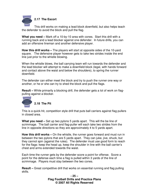

This drill works on making a lead block downfield, but also helps teach the defender to avoid the block and pull the flag.

**What you need –** Mark off a 10-by-10 area with cones. Start this drill with a running back and a lead blocker against one defender. In future drills, you can add an offensive lineman and another defensive player.

**How this drill works –** The players will start at opposite sides of the 10-yard square. The defensive player however gets to take two strides inside the end line just prior to the whistle blowing.

When the whistle blows, the ball carrying team will run towards the defender and the lead blocker will attempt to make a downfield block (legal, with hands forward and contact above the waist and below the shoulders), to spring the runner downfield.

The defender can either meet the block and try to push the runner one way or another, or he or she can try to shed the block and pull the flags.

**Result –** While primarily a blocking drill, the defender gets a lot of work on flagpulling against a blocker.



This is a quick-hit, competition style drill that puts ball carriers against flag pullers in closed area.

**What you need –** Set up two pylons 5 yards apart. This will the be line of scrimmage. The ball carrier and flag-puller will each take two strides from the line in opposite directions so they are approximately 4 to 5 yards apart.

**How this drill works –** On the whistle, the runner goes forward and must run in between the two pylons that are 5 yards apart. They can juke, jive, shuck, but they cannot spin (against the rules). The defender must use good form to reach for the flags: keep the head up, keep the shoulder in line with the ball carrier's chest and arms extended towards the waist.

Each time the runner gets by the defender score a point for offense. Score a point for the defense each time a flag is pulled within 3 yards of the line of scrimmage. Players must stay between the two cones.

**Result –** Great competitive drill that works on essential running and flag pulling skills.

> **- 25 – Flag Football Drills and Practice Plans © 2007 All Rights Reserved**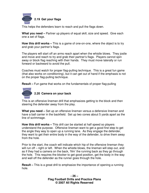

This helps the defenders learn to reach and pull the flags down.

**What you need –** Partner up players of equal skill, size and speed. Give each one a set of flags.

**How this drill works –** This is a game of one-on-one, where the object is to try and grab your partner's flags.

The players will start off an arms reach apart when the whistle blows. They jostle and move and reach to try and grab their partner's flags. Players cannot spin away or block flag reaching with their hands. They must move laterally or run forward or backward to avoid the pull.

Coaches must watch for proper flag-pulling technique. This is a great fun game (that also works on conditioning), but it can get out of hand if the emphasis is not on the proper flag-pulling technique.

**Result –** Fun game that works on the fundamentals of proper flag-pulling



#### **2.20 Camera on your back**

This is an offensive lineman drill that emphasizes getting to the block and then steering the defender away from the play.

**What you need –** Set up an offensive lineman versus a defensive lineman and have a ball carrier in the backfield. Set up two cones about 5 yards apart as the line of scrimmage.

**How this drill works –** This drill can be started at half speed so players understand the purpose. Offensive lineman want to get a good first step to get the angle they way to open up a running lane. As they engage the defender, they want to get their entire body in the way of the defender, to drive them away from the hole.

Prior to the start, the coach will indicate which hip of the offensive lineman they will run off – right or left. When the whistle blows, the lineman will step out, and as if they had a camera on the back, 'film' the running back as they go through the hole. This requires the blocker to get good position, get the body in the way and wall off the defender as the runner goes through the hole.

**Result –** This is a great drill to emphasize the importance of opening a running hole.

> **- 26 – Flag Football Drills and Practice Plans © 2007 All Rights Reserved**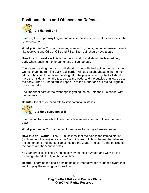# **Positional drills and Offense and Defense**



Learning the proper way to give and receive handoffs is crucial for success in the running game.

**What you need –** You can have any number of groups; pair up offensive players like receivers and QBs or QBs and RBs. Each pair should have a ball.

**How this drill works –** This is the basic handoff and should be learned very early when teaching the fundamentals of flag football.

The player handing the ball off will stand in front with the back to the ball carrier. On the snap, the running back (ball carrier) will go straight ahead, either to the left or right side of the player handing off. The player receiving the ball should have the inside arm on the top, across the body, and the outside arm low across the body. The QB (hand off) will open up to the runner and put the ball right in his or her belly.

The important part for the exchange is getting the ball into the RBs hands, with the proper arm up.

**Result –** Practice on hand offs to limit potential mistakes.



**3.2 Hole selection drill** 

The running back needs to know the hole numbers in order to know the basic plays.

**What you need –** You can set up three cones to portray offensive linemen.

**How this drill works –** The RB must know that the hole to the immediate left (odd) and right (even) side are the 1 and 2 holes. Right in the middle between the center cone and the outside cones are the 3 and 4 holes. To the outside of the cones are the 5 and 6 holes.

You can practice calling a running play by the hole number, and work on the exchange (handoff drill) at the same time.

**Result –** Learning the basic running holes is imperative for younger players that want to play the running back position.

> **- 27 – Flag Football Drills and Practice Plans © 2007 All Rights Reserved**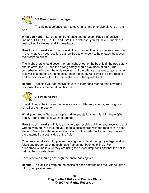

#### **3.3 Man to man coverage**

This helps a defense learn to cover all of the offensive players on the field.

**What you need –** Set up an entire offense and defense. Have 3 offensive lineman, 1 RB, 1 QB, 1 TE, and 2 WR. On defense, you will have 3 linemen, 1 linebacker, 2 safeties, and 2 cornerbacks.

**How this drill works –** In the initial drill, you can set things up the way described in the 'what you need' section, but feel free to change it to help teach the player their responsibilities.

The linebackers should cover the runningback out of the backfield, the free safety should cover the TE, and the strong safety should play deep middle. The cornerbacks will cover the wide receivers. If the offense changes to add another receiver (instead of a running back), then the safety will cover the extra receiver and the linebacker will watch the linebacker or the quarterback.

**Result –** Teaching your defensive players to learn their man to man coverage responsibilities is the benefit of this drill.



This drill helps the QBs and receivers work on different patterns, learning how to run all of them properly.

**What you need –** Set up a couple of different stations for this drill. Have QBs and WR (and RBs, too) working together.

**How this drill works –** This is a simple pass receiving drill for your receivers and QBs to work on. Go through your team's passing tree with the receivers in each station. Make sure the receivers work with both quarterbacks, so they can learn the patterns from both sides of the field.

Coaches should watch for players making their cuts at the right yardage, making fakes and proper catching technique (hands, not body catching). For quarterbacks, make sure they are using the proper drop back and that the ball is held at the shoulder level.

Each receiver should go through the entire passing tree.

**Result –** This drill will work on the basics of pass patterns and the QBs will get a lot of good passing work.

> **- 28 – Flag Football Drills and Practice Plans © 2007 All Rights Reserved**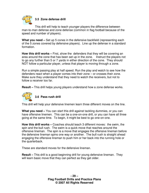

#### **3.5 Zone defense drill**

This drill will help to teach younger players the difference between man-to-man defense and zone defense (common in flag football because of the speed and number of players).

**What you need –** Set up 5 cones in the defensive backfield (representing each of the 5 zones covered by defensive players). Line up the defense in a standard formation.

**How this drill works –** First, show the defenders that they will be covering an area around the cone that has been set up in the zone. Instruct the players not to go any further than 5 or 7 yards in either direction of the cone. They should NOT follow a particular player, unless that player is moving through a zone.

Run a simple passing play at half speed. Run the play and watch to see how the defenders react when a player comes into their zone – or crosses their zone. Make sure they understand that they need to watch the receivers, but not to follow a receiver too far.

**Result –** This drill helps young players understand how a zone defense works.



This drill will help your defensive linemen learn three different moves on the line.

**What you need –** You can start this drill against tackling dummies, or you can have offensive linemen. This can be a one-on-one drill, or you can have all three going at the same time. To begin, it might be best to go one-on-one.

**How this drill works –** Coaches should teach 3 different moves: the swim, the spin and the bull rush. The swim is a quick move that reaches around the offensive lineman. The spin is a move that engages the offensive lineman before the defensive lineman spins one way or another. The bull rush is straight ahead engaging the offensive lineman to push him or her back into the running hole or the quarterback.

These are standard moves for the defensive lineman.

**Result –** This drill is a good beginning drill for young defensive lineman. They will learn basic move that they can perfect as they get older.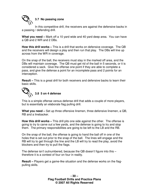

In this competitive drill, the receivers are against the defensive backs in a passing / defending drill.

**What you need –** Mark off a 10 yard wide and 40 yard deep area. You can have a QB and 2 WR and 2 DBs.

**How this drill works –** This is a drill that works on defensive coverage. The QB and the receivers will design a play and then run that play. The DBs will line up across from the WR in coverage.

On the snap of the ball, the receivers must stay in the marked off area, and the DBs will maintain coverage. The QB must get rid of the ball in 5 seconds, or it is considered a sack. Give the offense one point if they are able to complete a pass, and give the defense a point for an incomplete pass and 2 points for an interception.

**Result –** This is a great drill for both receivers and defensive backs to learn their basic skills.



This is a simple offense versus defense drill that adds a couple of more players, but is essentially an elaborate flag pulling drill.

**What you need –** Set up three offensive linemen, three defensive linemen, a QB, RB and a linebacker.

**How this drill works –** This drill pits one side against the other. The offense is going to try to carve out a few yards, and the defense is going to try and stop them. The primary responsibilities are going to be left to the LB and the RB.

On the snap of the ball, the offense is going to hand the ball off in one of the holes that is set out prior to the snap of the ball. The lines will engage and the RB will try to get through the line and the LB will try to read the play, avoid the blockers and then try to pull the flags.

The defense isn't outnumbered, because the QB doesn't figure into this – therefore it is a contest of four on four in reality.

**Result –** Players get a game-like situation and the defense works on the flagpulling skills.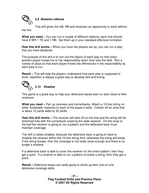

This drill gives the QB, RB and receivers an opportunity to work without the line.

**What you need –** You can run a couple of different stations; each one should have 2 WR 1 TE and 1 RB. Set them up in your standard offensive formation.

**How this drill works –** When you have the players set up, you can run a play that you have designed.

The purpose of this drill is to iron out the basics of each play so that every position player knows his or her responsibility when they take the field. Run a variety of plays so that each player knows the differences in the responsibility as each play is run.

**Result –** This will help the players understand how each play is supposed to work; repetition is always a great way to develop skill and timing.



This game is a great way to help your defensive backs learn to stick close to their receivers

**What you need –** Pair up receivers and cornerbacks. Attach a 10 foot string (or other 'breakable' material) to each of the player's belts. Cordon off an area that is about 10 yards wide by 30 yards.

**How this drill works –** The receiver will start off on the line and the string will be stretched fully with the cornerback covering the wide receiver. On the snap of the ball the receiver is going to run a pattern and the defensive back must maintain coverage.

The drill is called shadow, because the defensive back is going to have to shadow the receiver within the 10-foot string limit, otherwise the string will break. If the string breaks, then the coverage is not really close enough and there is no longer a shadow.

If a defensive back is able to cover the receiver for the entire pattern, then they get a point. If a receiver is able to run a pattern to break a string, then they get a point.

**Result –** Defensive backs are really going to shore up their one-on-one defensive coverage skills.

> **- 31 – Flag Football Drills and Practice Plans © 2007 All Rights Reserved**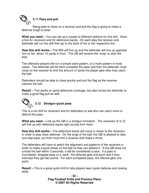

Being able to close on a receiver and pull the flag is going to make a defense tough to beat.

**What you need –** You can set up a couple of different stations for this drill. Have a line for receivers and for defensive backs. On each play the receiver and defender will run the drill then go to the back of his or her respective line.

**How this drill works –** The WR will line up and the defender will line up opposite him or her, about 10 yards in front. The QB will receive the 'snap' to start the play.

The offensive players will run a simple slant pattern, or a hook pattern in most cases. The defender will let them complete the pass and then the defender must close on the receiver to limit the amount of yards the player gets after they catch the ball.

Defenders should be able to close quickly and pull the flag as the receiver catches the ball.

**Result –** This works on good defensive coverage, but also forces the defender to make a good flag pull as well.

# **3.12 Shotgun quick pass**

This is a fun drill for receivers and for defenders to see who can catch more or defend the pass.

**What you need –** Line up the QB in a shotgun formation. The receivers (2 or 3) will line up with defensive backs right across from them.

**How this drill works –** The defensive backs will move in closer to the receivers in order to play close defense. On the snap of the ball, the QB is allowed to take one step back, but then must find a receiver and make a throw.

The defenders will have to watch the alignment and patterns of the receivers in order to make a quick break on the ball so they can defend it. If the QB does not unload the ball within 3 seconds, it will be considered a sack. If a pass is incomplete, dropped pass or a 'sack', the defense gets one point and if they intercept they get two points. For each completed pass, the offense gets one point.

**Result –** This is a great quick drill to help players learn quick defense and closing skills.

> **- 32 – Flag Football Drills and Practice Plans © 2007 All Rights Reserved**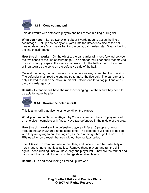

This drill works with defensive players and ball carrier in a flag-pulling drill.

**What you need –** Set up two pylons about 5 yards apart to act as the line of scrimmage. Set up another pylon 5 yards into the defender's side of the ball. Line up defenders 3 or 4 yards behind the cone; ball carriers start 5 yards behind the line of scrimmage.

**How this drill works –** On the whistle, the ball carrier will move forward between the two cones at the line of scrimmage. The defender will keep their feet moving in short, choppy steps in the same spot, waiting for the ball carrier. The runner will run towards the cone on the defensive side of the ball.

Once at the cone, the ball carrier must choose one way or another to cut and go. The defender must read the cut and try to make the flag pull. The ball carrier is only allowed to make one move in this drill. Score one for a flag pull and one if the ball carrier gets by.

**Result –** Defenders will have the runner coming right at them and they need to be able to make the play.



This is a fun drill that also helps to condition the players.

**What you need –** Set up a 20-yard by 20-yard area, and have 10 players start on one side – complete with flags. Have two defenders in the middle of the area.

**How this drill works –** The defensive players will face 10 people running through the 20 by 20 area at the same time. The defenders will need to decide who they are going to pull the flags of, as the runners go through the box. The RBs need to run through the area without having flags pulled.

The RBs will run from one side to the other, and once to the other side, tally up how many runners had flags pulled. Remove those players and run the drill again. Keep running until you have only one player left. They are the winner and can sit out the next drill when you change defensive players.

**Result –** Fun and conditioning all rolled up into one.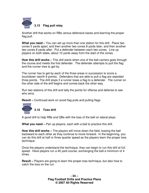

Another drill that works on RBs versus defensive backs and learning the proper flag pull.

**What you need –** You can set up more than one station for this drill. Place two cones 5 yards apart, and then another two cones 8 yards later, and then another two cones 8 yards after. Put a defender between each two cones. Line up players on both sides, about 10 yards away from the start of the cones.

**How this drill works –** This drill starts when one of the ball carriers goes through the course and meets the first defender. The defender attempts to pull the flag and the runner tries to get by.

The runner has to get by each of the three areas in succession to score a touchdown (worth 6 points). Defenders that are able to pull a flag are awarded three points. The drill stops if a runner loses a flag to a defender. The runner on the other side of the drill begins and comes back the other way.

Run two stations of this drill and tally the points for offense and defense to see who wins.

**Result –** Continued work on avoid flag pulls and pulling flags



A good drill to help RBs and QBs with the toss of the ball on lateral plays

**What you need –** Pair up players, each with a ball to practice this drill.

**How this drill works –** The players will move down the field, tossing the ball backward to each other as they continue to move forward. In the beginning, you can do this drill at half or three quarter speed as the players learn the proper toss technique.

Once the players understand the technique, they can begin to run this drill at full speed. Have players run a 40 yard course, exchanging the ball a minimum of 4 times.

**Result –** Players are going to learn the proper toss technique, but also how to catch the toss on the run.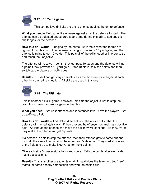

This competitive drill pits the entire offense against the entire defense

**What you need –** Field an entire offense against an entire defense to start. The offense can be adjusted and altered at any time during this drill to add specific challenges for the defense.

**How this drill works –** Judging by the name, 10 yards is what the teams are fighting for in this drill. The defense is trying to prevent a 10 yard gain, and the offense is trying to get 10 yards. This puts all of the skills together in order to try and reach their objective.

The offense will receive 1 point if they get past 10 yards and the defense will get a point if they prevent a 10 yard gain. After 10 plays, tally the points and then switch up the players on both sides.

**Result –** This drill can get very competitive as the sides are pitted against each other in a game-like situation. All skills are used in this one.



This is another full skill game, however, this time the object is just to stop the team from making a positive gain on the play.

**What you need –** Set up 2 offenses and 2 defenses if you have the players. Set up a 60-yard field.

**How this drill works –** This drill is different from the above drill in that the defense will immediately switch if they prevent the offense from making a positive gain. As long as the offense can move the ball they will continue. Each 60 yards they make, the offense will get 6 points.

If a defense is able to stop the offense, then their offense gets to come out and try to do the same thing against the other team's defense. They start at one end of the field and try to make it 60 yards for the 6 points.

Give each side 5 possessions to try and score. Tally the points after each side has 5 possessions.

**Result –** This is another great full team drill that divides the team into two 'new' teams for some healthy competition and work on basic skills.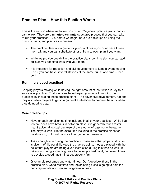# **Practice Plan – How this Section Works**

This is the section where we have constructed 25 general practice plans that you can follow. They are a **minute-by-minute** structured practice that you can take to run your practices. But, before we begin, here are a few tips on using the practice plans, and practices in general.

- The practice plans are a guide for your practices you don't have to use them all, and you can substitute other drills in to each plan if you want.
- While we provide one drill in the practice plans per time slot, you can add drills as you see fit to work with your team.
- It is important for repetition and skill development to keep players moving – so if you can have several stations of the same drill at one time – then do it.

#### **Running a good practice!**

Keeping players moving while having the right amount of instruction is key to a successful practice. That's why we have helped you out with running the practices by including these practice plans. The cover skill development, fun and they also allow players to get into game-like situations to prepare them for when they do need to play.

#### **More practice tips**

- Have enough conditioning time included in all of your practices. While flag football does have breaks in between plays, it is generally much faster than traditional football because of the amount of passing in the game. The players won't like the extra time included in the practice plans for conditioning, but it will improve their game performance.
- Take enough time during the practice to make sure that proper instruction is given. While our drills keep the practice going, they are placed with the belief that players are being given instruction during this time as well. It takes only doing something twice to develop a bad habit, but seven times to develop a good habit – instruct properly first!
- Give ample rest times and water times. Don't overlook these in the practice plan. Good rest time and replenishing fluids is going to help the body rejuvenate and prevent long-term injuries.

**- 36 – Flag Football Drills and Practice Plans © 2007 All Rights Reserved**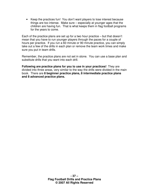• Keep the practices fun! You don't want players to lose interest because things are too intense. Make sure – especially at younger ages that the children are having fun. That is what keeps them in flag football programs for the years to come.

Each of the practice plans are set up for a two hour practice – but that doesn't mean that you have to run younger players through the paces for a couple of hours per practice. If you run a 60 minute or 90 minute practice, you can simply take out a few of the drills in each plan or remove the team work times and make sure you put in team drills.

Remember, the practice plans are not set in stone. You can use a base plan and substitute drills that you want into each drill.

**Following are practice plans for you to use in your practices!** They are divided into three areas, very similar to the way the drills were divided in the main book. There are **8 beginner practice plans, 8 intermediate practice plans and 8 advanced practice plans.**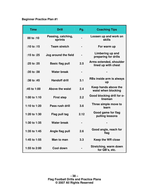| <b>Time</b>    | <b>Drill</b>                  | Pg.  | <b>Coaching Tips</b>                           |
|----------------|-------------------------------|------|------------------------------------------------|
| 00 to :10      | Passing, catching,<br>sprints |      | Loosen up and work on<br><b>skills</b>         |
| $:10$ to :15   | <b>Team stretch</b>           |      | For warm up                                    |
| $:15$ to $:25$ | Jog around the field          |      | Limbering up and<br>preparing for drills       |
| :25 to :35     | <b>Basic flag pull</b>        | 2.5  | Arms extended, shoulder<br>lined up with chest |
| :35 to :38     | <b>Water break</b>            |      |                                                |
| :38 to :45     | <b>Handoff drill</b>          | 3.1  | RBs inside arm is always<br>up                 |
| :45 to 1:00    | Above the waist               | 2.4  | Keep hands above the<br>waist when blocking    |
| 1:00 to 1:10   | <b>First step</b>             | 2.2  | Good blocking drill for o-<br>lineman          |
| 1:10 to 1:20   | Pass rush drill               | 3.6  | Three simple move to<br>learn                  |
| 1:20 to 1:30   | Flag pull tag                 | 2.12 | Good game for flag<br>pulling lessons          |
| 1:30 to 1:35   | <b>Water break</b>            |      |                                                |
| 1:35 to 1:45   | Angle flag pull               | 2.6  | Good angle, reach for<br>flag                  |
| 1:45 to 1:55   | Man to man                    | 3.3  | <b>Keep the WR close</b>                       |
| 1:55 to 2:00   | Cool down                     |      | Stretching, warm down<br>for QB's, etc.        |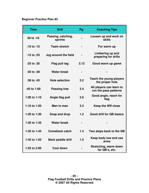| <b>Time</b>  | <b>Drill</b>                  | Pg.  | <b>Coaching Tips</b>                              |
|--------------|-------------------------------|------|---------------------------------------------------|
| 00 to :10    | Passing, catching,<br>sprints |      | Loosen up and work on<br><b>skills</b>            |
| :10 to :15   | <b>Team stretch</b>           |      | For warm up                                       |
| :15 to $:25$ | Jog around the field          |      | Limbering up and<br>preparing for drills          |
| :25 to :35   | Flag pull tag                 | 2.12 | Good warm up game                                 |
| :35 to :38   | <b>Water break</b>            |      |                                                   |
| :38 to :45   | <b>Hole selection</b>         | 3.2  | Teach the young players<br>the proper hole        |
| :45 to 1:00  | <b>Passing tree</b>           | 3.4  | All players can learn to<br>run the pass patterns |
| 1:00 to 1:10 | Angle flag pull               | 2.6  | Good angle, reach for<br>flag                     |
| 1:10 to 1:20 | Man to man                    | 3.3  | <b>Keep the WR close</b>                          |
| 1:20 to 1:30 | Snap and drop                 | 1.2  | <b>Good drill for QB basics</b>                   |
| 1:30 to 1:35 | <b>Water break</b>            |      |                                                   |
| 1:35 to 1:45 | <b>Comeback catch</b>         | 1.4  | Two steps back to the QB                          |
| 1:45 to 1:55 | <b>Back peddle drill</b>      | 1.5  | Keep body low and use<br>arms                     |
| 1:55 to 2:00 | Cool down                     |      | Stretching, warm down<br>for QB's, etc.           |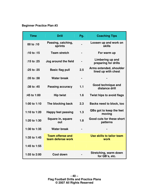| <b>Time</b>    | <b>Drill</b>                                 | Pg. | <b>Coaching Tips</b>                           |
|----------------|----------------------------------------------|-----|------------------------------------------------|
| 00 to :10      | Passing, catching,<br>sprints                |     | Loosen up and work on<br><b>skills</b>         |
| $:10$ to :15   | <b>Team stretch</b>                          |     | For warm up                                    |
| $:15$ to $:25$ | Jog around the field                         | -   | Limbering up and<br>preparing for drills       |
| :25 to :35     | <b>Basic flag pull</b>                       | 2.5 | Arms extended, shoulder<br>lined up with chest |
| :35 to :38     | <b>Water break</b>                           |     |                                                |
| :38 to :45     | <b>Passing accuracy</b>                      | 1.1 | Good technique and<br>distance drill           |
| :45 to 1:00    | <b>Hip twist</b>                             | 1.6 | <b>Twist hips to avoid flags</b>               |
| 1:00 to 1:10   | The blocking back                            | 2.3 | <b>Backs need to block, too</b>                |
| 1:10 to 1:20   | <b>Happy feet passing</b>                    | 1.3 | QBs got to keep the feet<br>moving             |
| 1:20 to 1:30   | Square in, square<br>out                     | 1.8 | Good cuts for these short<br>patterns          |
| 1:30 to 1:35   | <b>Water break</b>                           |     |                                                |
| 1:35 to 1:45   | <b>Team offense and</b><br>team defense work |     | Use skills to tailor team<br>work              |
| 1:45 to 1:55   |                                              |     |                                                |
| 1:55 to 2:00   | <b>Cool down</b>                             |     | Stretching, warm down<br>for QB's, etc.        |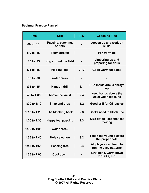| <b>Time</b>  | <b>Drill</b>                  | Pg.  | <b>Coaching Tips</b>                              |
|--------------|-------------------------------|------|---------------------------------------------------|
| 00 to :10    | Passing, catching,<br>sprints |      | Loosen up and work on<br><b>skills</b>            |
| $:10$ to :15 | <b>Team stretch</b>           |      | For warm up                                       |
| :15 to :25   | Jog around the field          |      | Limbering up and<br>preparing for drills          |
| :25 to :35   | Flag pull tag                 | 2.12 | Good warm up game                                 |
| :35 to :38   | <b>Water break</b>            |      |                                                   |
| :38 to :45   | <b>Handoff drill</b>          | 3.1  | RBs inside arm is always<br>up                    |
| :45 to 1:00  | <b>Above the waist</b>        | 2.4  | Keep hands above the<br>waist when blocking       |
| 1:00 to 1:10 | Snap and drop                 | 1.2  | <b>Good drill for QB basics</b>                   |
| 1:10 to 1:20 | The blocking back             | 2.3  | <b>Backs need to block, too</b>                   |
| 1:20 to 1:30 | <b>Happy feet passing</b>     | 1.3  | QBs got to keep the feet<br>moving                |
| 1:30 to 1:35 | <b>Water break</b>            |      |                                                   |
| 1:35 to 1:45 | <b>Hole selection</b>         | 3.2  | Teach the young players<br>the proper hole        |
| 1:45 to 1:55 | <b>Passing tree</b>           | 3.4  | All players can learn to<br>run the pass patterns |
| 1:55 to 2:00 | <b>Cool down</b>              |      | Stretching, warm down<br>for QB's, etc.           |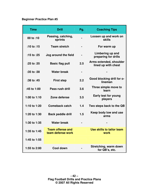| <b>Time</b>  | <b>Drill</b>                                 | Pg.            | <b>Coaching Tips</b>                           |
|--------------|----------------------------------------------|----------------|------------------------------------------------|
| 00 to :10    | Passing, catching,<br>sprints                |                | Loosen up and work on<br><b>skills</b>         |
| :10 to :15   | <b>Team stretch</b>                          |                | For warm up                                    |
| :15 to :25   | Jog around the field                         |                | Limbering up and<br>preparing for drills       |
| :25 to :35   | <b>Basic flag pull</b>                       | 2.5            | Arms extended, shoulder<br>lined up with chest |
| :35 to :38   | <b>Water break</b>                           | $\blacksquare$ |                                                |
| :38 to :45   | <b>First step</b>                            | 2.2            | Good blocking drill for o-<br>lineman          |
| :45 to 1:00  | Pass rush drill                              | 3.6            | Three simple move to<br>learn                  |
| 1:00 to 1:10 | Zone defense                                 | 3.5            | <b>Early test for young</b><br>players         |
| 1:10 to 1:20 | <b>Comeback catch</b>                        | 1.4            | Two steps back to the QB                       |
| 1:20 to 1:30 | <b>Back peddle drill</b>                     | 1.5            | Keep body low and use<br>arms                  |
| 1:30 to 1:35 | <b>Water break</b>                           |                |                                                |
| 1:35 to 1:45 | <b>Team offense and</b><br>team defense work |                | Use skills to tailor team<br>work              |
| 1:45 to 1:55 |                                              |                |                                                |
| 1:55 to 2:00 | <b>Cool down</b>                             |                | Stretching, warm down<br>for QB's, etc.        |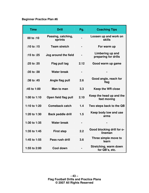| <b>Time</b>    | <b>Drill</b>                  | Pg.  | <b>Coaching Tips</b>                     |
|----------------|-------------------------------|------|------------------------------------------|
| 00 to :10      | Passing, catching,<br>sprints |      | Loosen up and work on<br><b>skills</b>   |
| $:10$ to :15   | <b>Team stretch</b>           |      | For warm up                              |
| $:15$ to $:25$ | Jog around the field          |      | Limbering up and<br>preparing for drills |
| :25 to :35     | Flag pull tag                 | 2.12 | Good warm up game                        |
| :35 to :38     | <b>Water break</b>            |      |                                          |
| :38 to :45     | Angle flag pull               | 2.6  | Good angle, reach for<br>flag            |
| :45 to 1:00    | Man to man                    | 3.3  | <b>Keep the WR close</b>                 |
| 1:00 to 1:10   | Open field flag pull          | 2.10 | Keep the head up and the<br>feet moving  |
| 1:10 to 1:20   | <b>Comeback catch</b>         | 1.4  | Two steps back to the QB                 |
| 1:20 to 1:30   | <b>Back peddle drill</b>      | 1.5  | Keep body low and use<br>arms            |
| 1:30 to 1:35   | <b>Water break</b>            |      |                                          |
| 1:35 to 1:45   | <b>First step</b>             | 2.2  | Good blocking drill for o-<br>lineman    |
| 1:45 to 1:55   | Pass rush drill               | 3.6  | Three simple move to<br>learn            |
| 1:55 to 2:00   | <b>Cool down</b>              |      | Stretching, warm down<br>for QB's, etc.  |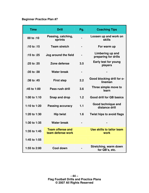| <b>Time</b>  | <b>Drill</b>                                 | Pg. | <b>Coaching Tips</b>                     |
|--------------|----------------------------------------------|-----|------------------------------------------|
| 00 to :10    | Passing, catching,<br>sprints                |     | Loosen up and work on<br><b>skills</b>   |
| :10 to :15   | <b>Team stretch</b>                          |     | For warm up                              |
| :15 to :25   | Jog around the field                         |     | Limbering up and<br>preparing for drills |
| :25 to :35   | Zone defense                                 | 3.5 | <b>Early test for young</b><br>players   |
| :35 to :38   | <b>Water break</b>                           | -   |                                          |
| :38 to :45   | <b>First step</b>                            | 2.2 | Good blocking drill for o-<br>lineman    |
| :45 to 1:00  | Pass rush drill                              | 3.6 | Three simple move to<br>learn            |
| 1:00 to 1:10 | Snap and drop                                | 1.2 | <b>Good drill for QB basics</b>          |
| 1:10 to 1:20 | <b>Passing accuracy</b>                      | 1.1 | Good technique and<br>distance drill     |
| 1:20 to 1:30 | <b>Hip twist</b>                             | 1.6 | <b>Twist hips to avoid flags</b>         |
| 1:30 to 1:35 | <b>Water break</b>                           |     |                                          |
| 1:35 to 1:45 | <b>Team offense and</b><br>team defense work |     | Use skills to tailor team<br>work        |
| 1:45 to 1:55 |                                              |     |                                          |
| 1:55 to 2:00 | <b>Cool down</b>                             |     | Stretching, warm down<br>for QB's, etc.  |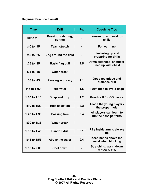| <b>Time</b>    | <b>Drill</b>                  | Pg. | <b>Coaching Tips</b>                              |
|----------------|-------------------------------|-----|---------------------------------------------------|
| 00 to :10      | Passing, catching,<br>sprints |     | Loosen up and work on<br><b>skills</b>            |
| $:10$ to :15   | <b>Team stretch</b>           |     | For warm up                                       |
| $:15$ to $:25$ | Jog around the field          |     | Limbering up and<br>preparing for drills          |
| :25 to :35     | <b>Basic flag pull</b>        | 2.5 | Arms extended, shoulder<br>lined up with chest    |
| :35 to :38     | <b>Water break</b>            |     |                                                   |
| :38 to :45     | <b>Passing accuracy</b>       | 1.1 | Good technique and<br>distance drill              |
| :45 to 1:00    | <b>Hip twist</b>              | 1.6 | <b>Twist hips to avoid flags</b>                  |
| 1:00 to 1:10   | Snap and drop                 | 1.2 | <b>Good drill for QB basics</b>                   |
| 1:10 to 1:20   | <b>Hole selection</b>         | 3.2 | Teach the young players<br>the proper hole        |
| 1:20 to 1:30   | <b>Passing tree</b>           | 3.4 | All players can learn to<br>run the pass patterns |
| 1:30 to 1:35   | <b>Water break</b>            |     |                                                   |
| 1:35 to 1:45   | <b>Handoff drill</b>          | 3.1 | RBs inside arm is always<br>up                    |
| 1:45 to 1:55   | <b>Above the waist</b>        | 2.4 | Keep hands above the<br>waist when blocking       |
| 1:55 to 2:00   | <b>Cool down</b>              |     | Stretching, warm down<br>for QB's, etc.           |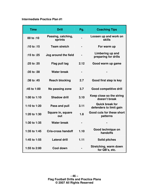| <b>Time</b>    | <b>Drill</b>                  | Pg.  | <b>Coaching Tips</b>                              |
|----------------|-------------------------------|------|---------------------------------------------------|
| 00 to :10      | Passing, catching,<br>sprints |      | Loosen up and work on<br><b>skills</b>            |
| :10 to :15     | <b>Team stretch</b>           |      | For warm up                                       |
| $:15$ to $:25$ | Jog around the field          |      | Limbering up and<br>preparing for drills          |
| :25 to :35     | Flag pull tag                 | 2.12 | Good warm up game                                 |
| :35 to :38     | <b>Water break</b>            |      |                                                   |
| $:38$ to $:45$ | <b>Reach blocking</b>         | 2.7  | Good first step is key                            |
| :45 to 1:00    | No passing zone               | 3.7  | <b>Good competitive drill</b>                     |
| 1:00 to 1:10   | <b>Shadow drill</b>           | 3.10 | Keep close so the string<br>doesn't break         |
| 1:10 to 1:20   | Pass and pull                 | 3.11 | <b>Quick break for</b><br>defenders to limit gain |
| 1:20 to 1:30   | Square in, square<br>out      | 1.8  | Good cuts for these short<br>patterns             |
| 1:30 to 1:35   | <b>Water break</b>            |      |                                                   |
| 1:35 to 1:45   | <b>Cris-cross handoff</b>     | 1.10 | Good technique on<br>handoffs                     |
| 1:45 to 1:55   | <b>Lateral drill</b>          | 1.11 | <b>Solid pitches</b>                              |
| 1:55 to 2:00   | Cool down                     |      | Stretching, warm down<br>for QB's, etc.           |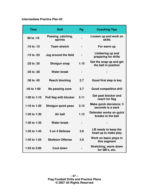| <b>Time</b>  | <b>Drill</b>                  | Pg.  | <b>Coaching Tips</b>                            |
|--------------|-------------------------------|------|-------------------------------------------------|
| 00 to :10    | Passing, catching,<br>sprints |      | Loosen up and work on<br>skills                 |
| $:10$ to :15 | <b>Team stretch</b>           |      | For warm up                                     |
| :15 to $:25$ | Jog around the field          |      | Limbering up and<br>preparing for drills        |
| :25 to :35   | Shotgun snap                  | 1.15 | Get the snap up and get<br>the ball in position |
| :35 to :38   | <b>Water break</b>            |      |                                                 |
| :38 to :45   | <b>Reach blocking</b>         | 2.7  | Good first step is key                          |
| :45 to 1:00  | No passing zone               | 3.7  | <b>Good competitive drill</b>                   |
| 1:00 to 1:10 | <b>Pull flag with blocker</b> | 2.11 | Get past blocker and<br>reach for flag          |
| 1:10 to 1:20 | Shotgun quick pass            | 3.12 | Make quick decisions; 3<br>seconds is a sack    |
| 1:20 to 1:30 | Air ball                      | 1.12 | Defender works on quick<br>breaks to the ball   |
| 1:30 to 1:35 | <b>Water break</b>            |      |                                                 |
| 1:35 to 1:45 | 5 on 4 Defense                | 3.8  | LB needs to keep the<br>head up to make play    |
| 1:45 to 1:55 | <b>Skeleton Offense</b>       | 3.9  | Work on basic plays in<br>this segment          |
| 1:55 to 2:00 | <b>Cool down</b>              |      | Stretching, warm down<br>for QB's, etc.         |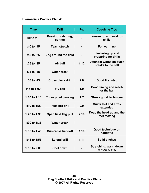| <b>Time</b>  | <b>Drill</b>                  | Pg.  | <b>Coaching Tips</b>                          |
|--------------|-------------------------------|------|-----------------------------------------------|
| 00 to :10    | Passing, catching,<br>sprints |      | Loosen up and work on<br><b>skills</b>        |
| $:10$ to :15 | <b>Team stretch</b>           |      | For warm up                                   |
| :15 to :25   | Jog around the field          |      | Limbering up and<br>preparing for drills      |
| :25 to :35   | Air ball                      | 1.12 | Defender works on quick<br>breaks to the ball |
| :35 to :38   | <b>Water break</b>            |      |                                               |
| :38 to :45   | <b>Cross block drill</b>      | 2.8  | <b>Good first step</b>                        |
| :45 to 1:00  | <b>Fly ball</b>               | 1.9  | Good timing and reach<br>for the ball         |
| 1:00 to 1:10 | Three point passing           | 1.7  | <b>Stress good technique</b>                  |
| 1:10 to 1:20 | Pass pro drill                | 2.9  | <b>Quick feet and arms</b><br>extended        |
| 1:20 to 1:30 | Open field flag pull          | 2.10 | Keep the head up and the<br>feet moving       |
| 1:30 to 1:35 | <b>Water break</b>            |      |                                               |
| 1:35 to 1:45 | <b>Cris-cross handoff</b>     | 1.10 | Good technique on<br>handoffs                 |
| 1:45 to 1:55 | <b>Lateral drill</b>          | 1.11 | <b>Solid pitches</b>                          |
| 1:55 to 2:00 | Cool down                     |      | Stretching, warm down<br>for QB's, etc.       |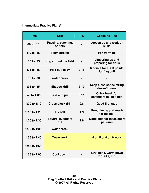| <b>Time</b>    | <b>Drill</b>                  | Pg.            | <b>Coaching Tips</b>                              |
|----------------|-------------------------------|----------------|---------------------------------------------------|
| 00 to :10      | Passing, catching,<br>sprints |                | Loosen up and work on<br><b>skills</b>            |
| :10 to :15     | <b>Team stretch</b>           |                | For warm up                                       |
| $:15$ to $:25$ | Jog around the field          | $\blacksquare$ | Limbering up and<br>preparing for drills          |
| :25 to :35     | Flag pull relay               | 3.15           | 6 points for TD, 3 points<br>for flag pull        |
| :35 to :38     | <b>Water break</b>            |                |                                                   |
| :38 to :45     | <b>Shadow drill</b>           | 3.10           | Keep close so the string<br>doesn't break         |
| :45 to 1:00    | Pass and pull                 | 3.11           | <b>Quick break for</b><br>defenders to limit gain |
| 1:00 to 1:10   | <b>Cross block drill</b>      | 2.8            | <b>Good first step</b>                            |
| 1:10 to 1:20   | <b>Fly ball</b>               | 1.9            | Good timing and reach<br>for the ball             |
| 1:20 to 1:30   | Square in, square<br>out      | 1.8            | Good cuts for these short<br>patterns             |
| 1:30 to 1:35   | <b>Water break</b>            |                |                                                   |
| 1:35 to 1:45   | <b>Team work</b>              |                | 5 on 5 or 8 on 8 work                             |
| 1:45 to 1:55   |                               |                |                                                   |
| 1:55 to 2:00   | <b>Cool down</b>              |                | Stretching, warm down<br>for QB's, etc.           |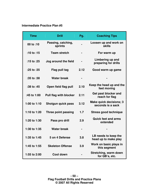| <b>Time</b>  | <b>Drill</b>                  | Pg.  | <b>Coaching Tips</b>                                |
|--------------|-------------------------------|------|-----------------------------------------------------|
| 00 to :10    | Passing, catching,<br>sprints |      | Loosen up and work on<br>skills                     |
| $:10$ to :15 | <b>Team stretch</b>           |      | For warm up                                         |
| :15 to :25   | Jog around the field          |      | Limbering up and<br>preparing for drills            |
| :25 to :35   | Flag pull tag                 | 2.12 | Good warm up game                                   |
| :35 to :38   | <b>Water break</b>            |      |                                                     |
| :38 to :45   | Open field flag pull          | 2.10 | Keep the head up and the<br>feet moving             |
| :45 to 1:00  | <b>Pull flag with blocker</b> | 2.11 | Get past blocker and<br>reach for flag              |
| 1:00 to 1:10 | Shotgun quick pass            | 3.12 | <b>Make quick decisions; 3</b><br>seconds is a sack |
| 1:10 to 1:20 | Three point passing           | 1.7  | <b>Stress good technique</b>                        |
| 1:20 to 1:30 | Pass pro drill                | 2.9  | <b>Quick feet and arms</b><br>extended              |
| 1:30 to 1:35 | <b>Water break</b>            |      |                                                     |
| 1:35 to 1:45 | 5 on 4 Defense                | 3.8  | LB needs to keep the<br>head up to make play        |
| 1:45 to 1:55 | <b>Skeleton Offense</b>       | 3.9  | Work on basic plays in<br>this segment              |
| 1:55 to 2:00 | <b>Cool down</b>              |      | Stretching, warm down<br>for QB's, etc.             |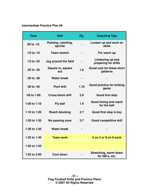| <b>Time</b>  | <b>Drill</b>                  | Pg.            | <b>Coaching Tips</b>                     |
|--------------|-------------------------------|----------------|------------------------------------------|
| 00 to :10    | Passing, catching,<br>sprints |                | Loosen up and work on<br><b>skills</b>   |
| $:10$ to :15 | <b>Team stretch</b>           | $\blacksquare$ | For warm up                              |
| :15 to :25   | Jog around the field          | $\blacksquare$ | Limbering up and<br>preparing for drills |
| :25 to :35   | Square in, square<br>out      | 1.8            | Good cuts for these short<br>patterns    |
| :35 to :38   | <b>Water break</b>            | $\blacksquare$ |                                          |
| :38 to :45   | <b>Punt drill</b>             | 1.16           | <b>Good practice for kicking</b><br>game |
| :45 to 1:00  | <b>Cross block drill</b>      | 2.8            | <b>Good first step</b>                   |
| 1:00 to 1:10 | <b>Fly ball</b>               | 1.9            | Good timing and reach<br>for the ball    |
| 1:10 to 1:20 | <b>Reach blocking</b>         | 2.7            | Good first step is key                   |
| 1:20 to 1:30 | No passing zone               | 3.7            | <b>Good competitive drill</b>            |
| 1:30 to 1:35 | <b>Water break</b>            |                |                                          |
| 1:35 to 1:45 | <b>Team work</b>              |                | 5 on 5 or 8 on 8 work                    |
| 1:45 to 1:55 |                               |                |                                          |
| 1:55 to 2:00 | <b>Cool down</b>              |                | Stretching, warm down<br>for QB's, etc.  |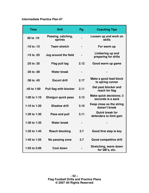| <b>Time</b>  | <b>Drill</b>                  | Pg.  | <b>Coaching Tips</b>                                |
|--------------|-------------------------------|------|-----------------------------------------------------|
| 00 to :10    | Passing, catching,<br>sprints |      | Loosen up and work on<br>skills                     |
| $:10$ to :15 | <b>Team stretch</b>           |      | For warm up                                         |
| :15 to :25   | Jog around the field          |      | Limbering up and<br>preparing for drills            |
| :25 to :35   | Flag pull tag                 | 2.12 | Good warm up game                                   |
| :35 to :38   | <b>Water break</b>            |      |                                                     |
| :38 to :45   | <b>Escort drill</b>           | 2.17 | Make a good lead block<br>to spring runner          |
| :45 to 1:00  | <b>Pull flag with blocker</b> | 2.11 | Get past blocker and<br>reach for flag              |
| 1:00 to 1:10 | Shotgun quick pass            | 3.12 | <b>Make quick decisions: 3</b><br>seconds is a sack |
| 1:10 to 1:20 | <b>Shadow drill</b>           | 3.10 | Keep close so the string<br>doesn't break           |
| 1:20 to 1:30 | Pass and pull                 | 3.11 | <b>Quick break for</b><br>defenders to limit gain   |
| 1:30 to 1:35 | <b>Water break</b>            |      |                                                     |
| 1:35 to 1:45 | <b>Reach blocking</b>         | 2.7  | Good first step is key                              |
| 1:45 to 1:55 | No passing zone               | 3.7  | <b>Good competitive drill</b>                       |
| 1:55 to 2:00 | <b>Cool down</b>              |      | Stretching, warm down<br>for QB's, etc.             |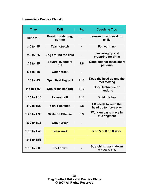| <b>Time</b>  | <b>Drill</b>                  | Pg.  | <b>Coaching Tips</b>                         |
|--------------|-------------------------------|------|----------------------------------------------|
| 00 to :10    | Passing, catching,<br>sprints |      | Loosen up and work on<br><b>skills</b>       |
| $:10$ to :15 | <b>Team stretch</b>           |      | For warm up                                  |
| :15 to :25   | Jog around the field          |      | Limbering up and<br>preparing for drills     |
| :25 to :35   | Square in, square<br>out      | 1.8  | Good cuts for these short<br>patterns        |
| :35 to :38   | <b>Water break</b>            |      |                                              |
| :38 to :45   | Open field flag pull          | 2.10 | Keep the head up and the<br>feet moving      |
| :45 to 1:00  | <b>Cris-cross handoff</b>     | 1.10 | Good technique on<br>handoffs                |
| 1:00 to 1:10 | <b>Lateral drill</b>          | 1.11 | <b>Solid pitches</b>                         |
| 1:10 to 1:20 | 5 on 4 Defense                | 3.8  | LB needs to keep the<br>head up to make play |
| 1:20 to 1:30 | <b>Skeleton Offense</b>       | 3.9  | Work on basic plays in<br>this segment       |
| 1:30 to 1:35 | <b>Water break</b>            |      |                                              |
| 1:35 to 1:45 | <b>Team work</b>              |      | 5 on 5 or 8 on 8 work                        |
| 1:45 to 1:55 |                               |      |                                              |
| 1:55 to 2:00 | Cool down                     |      | Stretching, warm down<br>for QB's, etc.      |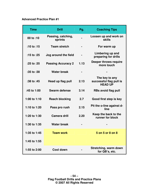| <b>Time</b>  | <b>Drill</b>                  | Pg.  | <b>Coaching Tips</b>                                        |
|--------------|-------------------------------|------|-------------------------------------------------------------|
| 00 to :10    | Passing, catching,<br>sprints |      | Loosen up and work on<br><b>skills</b>                      |
| $:10$ to :15 | <b>Team stretch</b>           |      | For warm up                                                 |
| :15 to $:25$ | Jog around the field          |      | Limbering up and<br>preparing for drills                    |
| :25 to :35   | <b>Passing Accuracy 2</b>     | 1.13 | Deeper throws require<br>more touch                         |
| :35 to :38   | <b>Water break</b>            |      |                                                             |
| :38 to :45   | Head up flag pull             | 2.13 | The key to any<br>successful flag pull is<br><b>HEAD UP</b> |
| :45 to 1:00  | <b>Swarm defense</b>          | 3.14 | <b>RBs avoid flag pull</b>                                  |
| 1:00 to 1:10 | <b>Reach blocking</b>         | 2.7  | Good first step is key                                      |
| 1:10 to 1:20 | Pass pro rush                 | 2.15 | Pit the o-line against d-<br>line                           |
| 1:20 to 1:30 | <b>Camera drill</b>           | 2.20 | Keep the back to the<br>runner for block                    |
| 1:30 to 1:35 | <b>Water break</b>            |      |                                                             |
| 1:35 to 1:45 | <b>Team work</b>              |      | 5 on 5 or 8 on 8                                            |
| 1:45 to 1:55 |                               |      |                                                             |
| 1:55 to 2:00 | Cool down                     |      | Stretching, warm down<br>for QB's, etc.                     |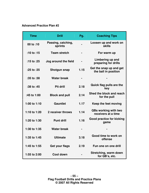| <b>Time</b>    | <b>Drill</b>                  | Pg.  | <b>Coaching Tips</b>                               |
|----------------|-------------------------------|------|----------------------------------------------------|
| 00 to :10      | Passing, catching,<br>sprints |      | Loosen up and work on<br><b>skills</b>             |
| :10 to :15     | <b>Team stretch</b>           |      | For warm up                                        |
| $:15$ to $:25$ | Jog around the field          |      | Limbering up and<br>preparing for drills           |
| :25 to :35     | <b>Shotgun snap</b>           | 1.15 | Get the snap up and get<br>the ball in position    |
| :35 to :38     | <b>Water break</b>            |      |                                                    |
| :38 to :45     | <b>Pit drill</b>              | 2.18 | Quick flag pulls are the<br>key                    |
| :45 to 1:00    | <b>Block and pull</b>         | 2.14 | Shed the block and reach<br>for the pull           |
| 1:00 to 1:10   | <b>Gauntlet</b>               | 1.17 | Keep the feet moving                               |
| 1:10 to 1:20   | 2 receiver throws             | 1.14 | <b>QBs working with two</b><br>receivers at a time |
| 1:20 to 1:30   | <b>Punt drill</b>             | 1.16 | <b>Good practice for kicking</b><br>game           |
| 1:30 to 1:35   | <b>Water break</b>            |      |                                                    |
| 1:35 to 1:45   | <b>Ultimate</b>               | 3.18 | Good time to work on<br>offense                    |
| 1:45 to 1:55   | Get your flags                | 2.19 | Fun one on one drill                               |
| 1:55 to 2:00   | <b>Cool down</b>              |      | Stretching, warm down<br>for QB's, etc.            |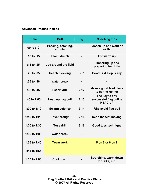| <b>Time</b>    | <b>Drill</b>                  | Pg.  | <b>Coaching Tips</b>                                        |
|----------------|-------------------------------|------|-------------------------------------------------------------|
| 00 to :10      | Passing, catching,<br>sprints |      | Loosen up and work on<br><b>skills</b>                      |
| $:10$ to :15   | <b>Team stretch</b>           |      | For warm up                                                 |
| :15 to :25     | Jog around the field          |      | Limbering up and<br>preparing for drills                    |
| :25 to :35     | <b>Reach blocking</b>         | 2.7  | Good first step is key                                      |
| $:35$ to $:38$ | <b>Water break</b>            |      |                                                             |
| :38 to :45     | <b>Escort drill</b>           | 2.17 | Make a good lead block<br>to spring runner                  |
| :45 to 1:00    | Head up flag pull             | 2.13 | The key to any<br>successful flag pull is<br><b>HEAD UP</b> |
| 1:00 to 1:10   | <b>Swarm defense</b>          | 3.14 | <b>RBs avoid flag pull</b>                                  |
| 1:10 to 1:20   | Drive through                 | 2.16 | Keep the feet moving                                        |
| 1:20 to 1:30   | <b>Toss drill</b>             | 3.16 | Good toss technique                                         |
| 1:30 to 1:35   | <b>Water break</b>            |      |                                                             |
| 1:35 to 1:45   | <b>Team work</b>              |      | 5 on 5 or 8 on 8                                            |
| 1:45 to 1:55   |                               |      |                                                             |
| 1:55 to 2:00   | Cool down                     |      | Stretching, warm down<br>for QB's, etc.                     |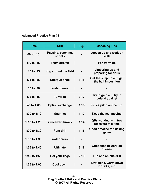| <b>Time</b>    | <b>Drill</b>                  | Pg.  | <b>Coaching Tips</b>                               |
|----------------|-------------------------------|------|----------------------------------------------------|
| 00 to :10      | Passing, catching,<br>sprints |      | Loosen up and work on<br><b>skills</b>             |
| $:10$ to $:15$ | <b>Team stretch</b>           |      | For warm up                                        |
| $:15$ to $:25$ | Jog around the field          |      | Limbering up and<br>preparing for drills           |
| :25 to :35     | <b>Shotgun snap</b>           | 1.15 | Get the snap up and get<br>the ball in position    |
| :35 to :38     | <b>Water break</b>            |      |                                                    |
| :38 to :45     | 10 yards                      | 3.17 | Try to gain and try to<br>defend against           |
| :45 to 1:00    | <b>Option exchange</b>        | 1.18 | Quick pitch on the run                             |
| 1:00 to 1:10   | <b>Gauntlet</b>               | 1.17 | Keep the feet moving                               |
| 1:10 to 1:20   | 2 receiver throws             | 1.14 | <b>QBs working with two</b><br>receivers at a time |
| 1:20 to 1:30   | <b>Punt drill</b>             | 1.16 | <b>Good practice for kicking</b><br>qame           |
| 1:30 to 1:35   | <b>Water break</b>            |      |                                                    |
| 1:35 to 1:45   | <b>Ultimate</b>               | 3.18 | Good time to work on<br>offense                    |
| 1:45 to 1:55   | Get your flags                | 2.19 | Fun one on one drill                               |
| 1:55 to 2:00   | <b>Cool down</b>              |      | Stretching, warm down<br>for QB's, etc.            |

**- 57 – Flag Football Drills and Practice Plans © 2007 All Rights Reserved**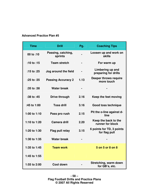| <b>Time</b>    | <b>Drill</b>                  | Pg.  | <b>Coaching Tips</b>                       |
|----------------|-------------------------------|------|--------------------------------------------|
| 00 to :10      | Passing, catching,<br>sprints |      | Loosen up and work on<br><b>skills</b>     |
| :10 to :15     | <b>Team stretch</b>           |      | For warm up                                |
| $:15$ to $:25$ | Jog around the field          |      | Limbering up and<br>preparing for drills   |
| :25 to :35     | <b>Passing Accuracy 2</b>     | 1.13 | Deeper throws require<br>more touch        |
| :35 to :38     | <b>Water break</b>            |      |                                            |
| :38 to :45     | Drive through                 | 2.16 | Keep the feet moving                       |
| :45 to 1:00    | <b>Toss drill</b>             | 3.16 | <b>Good toss technique</b>                 |
| 1:00 to 1:10   | Pass pro rush                 | 2.15 | Pit the o-line against d-<br>line          |
| 1:10 to 1:20   | Camera drill                  | 2.20 | Keep the back to the<br>runner for block   |
| 1:20 to 1:30   | Flag pull relay               | 3.15 | 6 points for TD, 3 points<br>for flag pull |
| 1:30 to 1:35   | <b>Water break</b>            |      |                                            |
| 1:35 to 1:45   | <b>Team work</b>              |      | 5 on 5 or 8 on 8                           |
| 1:45 to 1:55   |                               |      |                                            |
| 1:55 to 2:00   | Cool down                     |      | Stretching, warm down<br>for QB's, etc.    |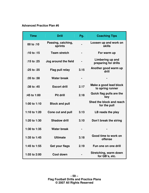| <b>Time</b>  | <b>Drill</b>                  | Pg.  | <b>Coaching Tips</b>                       |
|--------------|-------------------------------|------|--------------------------------------------|
| 00 to :10    | Passing, catching,<br>sprints |      | Loosen up and work on<br>skills            |
| :10 to :15   | <b>Team stretch</b>           |      | For warm up                                |
| :15 to :25   | Jog around the field          |      | Limbering up and<br>preparing for drills   |
| :25 to :35   | Flag pull relay               | 3.15 | Another good warm up<br>drill              |
| :35 to :38   | <b>Water break</b>            |      |                                            |
| :38 to :45   | <b>Escort drill</b>           | 2.17 | Make a good lead block<br>to spring runner |
| :45 to 1:00  | <b>Pit drill</b>              | 2.18 | Quick flag pulls are the<br>key            |
| 1:00 to 1:10 | <b>Block and pull</b>         |      | Shed the block and reach<br>for the pull   |
| 1:10 to 1:20 | Cone cut and pull             | 3.13 | LB reads the play                          |
| 1:20 to 1:30 | <b>Shadow drill</b>           | 3.10 | Don't break the string                     |
| 1:30 to 1:35 | <b>Water break</b>            |      |                                            |
| 1:35 to 1:45 | <b>Ultimate</b>               | 3.18 | Good time to work on<br>offense            |
| 1:45 to 1:55 | Get your flags                | 2.19 | Fun one on one drill                       |
| 1:55 to 2:00 | <b>Cool down</b>              |      | Stretching, warm down<br>for QB's, etc.    |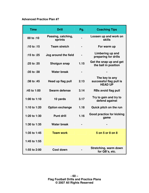| <b>Time</b>    | <b>Drill</b>                  | Pg.  | <b>Coaching Tips</b>                                        |
|----------------|-------------------------------|------|-------------------------------------------------------------|
| 00 to :10      | Passing, catching,<br>sprints |      | Loosen up and work on<br><b>skills</b>                      |
| $:10$ to :15   | <b>Team stretch</b>           |      | For warm up                                                 |
| $:15$ to $:25$ | Jog around the field          |      | Limbering up and<br>preparing for drills                    |
| :25 to :35     | Shotgun snap                  | 1.15 | Get the snap up and get<br>the ball in position             |
| :35 to :38     | <b>Water break</b>            |      |                                                             |
| :38 to :45     | Head up flag pull             | 2.13 | The key to any<br>successful flag pull is<br><b>HEAD UP</b> |
| :45 to 1:00    | <b>Swarm defense</b>          | 3.14 | <b>RBs avoid flag pull</b>                                  |
| 1:00 to 1:10   | 10 yards                      | 3.17 | Try to gain and try to<br>defend against                    |
| 1:10 to 1:20   | <b>Option exchange</b>        | 1.18 | Quick pitch on the run                                      |
| 1:20 to 1:30   | <b>Punt drill</b>             | 1.16 | <b>Good practice for kicking</b><br>game                    |
| 1:30 to 1:35   | <b>Water break</b>            |      |                                                             |
| 1:35 to 1:45   | <b>Team work</b>              |      | 5 on 5 or 8 on 8                                            |
| 1:45 to 1:55   |                               |      |                                                             |
| 1:55 to 2:00   | <b>Cool down</b>              |      | Stretching, warm down<br>for QB's, etc.                     |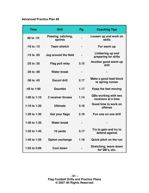| <b>Time</b>  | <b>Drill</b>                  | Pg.  | <b>Coaching Tips</b>                               |
|--------------|-------------------------------|------|----------------------------------------------------|
| 00 to :10    | Passing, catching,<br>sprints |      | Loosen up and work on<br><b>skills</b>             |
| $:10$ to :15 | <b>Team stretch</b>           |      | For warm up                                        |
| :15 to :25   | Jog around the field          |      | Limbering up and<br>preparing for drills           |
| :25 to :35   | Flag pull relay               | 3.15 | Another good warm up<br>drill                      |
| :35 to :38   | <b>Water break</b>            |      |                                                    |
| :38 to :45   | <b>Escort drill</b>           | 2.17 | Make a good lead block<br>to spring runner         |
| :45 to 1:00  | <b>Gauntlet</b>               | 1.17 | Keep the feet moving                               |
| 1:00 to 1:10 | 2 receiver throws             | 1.14 | <b>QBs working with two</b><br>receivers at a time |
| 1:10 to 1:20 | <b>Ultimate</b>               | 3.18 | Good time to work on<br>offense                    |
| 1:20 to 1:30 | Get your flags                | 2.19 | Fun one on one drill                               |
| 1:30 to 1:35 | <b>Water break</b>            |      |                                                    |
| 1:35 to 1:45 | 10 yards                      | 3.17 | Try to gain and try to<br>defend against           |
| 1:45 to 1:55 | <b>Option exchange</b>        | 1.18 | Quick pitch on the run                             |
| 1:55 to 2:00 | <b>Cool down</b>              |      | Stretching, warm down<br>for QB's, etc.            |